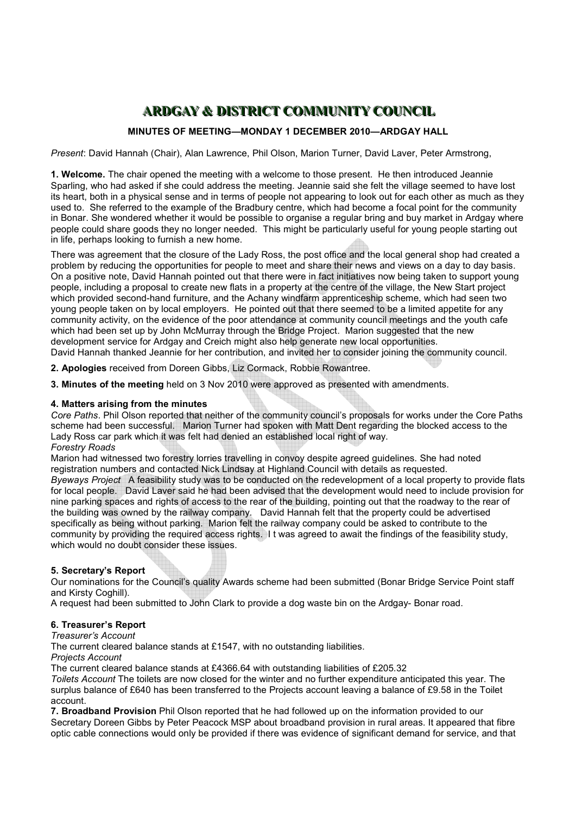# **ARDGAY & DISTRICT COMMUNITY COUNCIL**

## **MINUTES OF MEETING—MONDAY 1 DECEMBER 2010—ARDGAY HALL**

*Present*: David Hannah (Chair), Alan Lawrence, Phil Olson, Marion Turner, David Laver, Peter Armstrong,

**1. Welcome.** The chair opened the meeting with a welcome to those present. He then introduced Jeannie Sparling, who had asked if she could address the meeting. Jeannie said she felt the village seemed to have lost its heart, both in a physical sense and in terms of people not appearing to look out for each other as much as they used to. She referred to the example of the Bradbury centre, which had become a focal point for the community in Bonar. She wondered whether it would be possible to organise a regular bring and buy market in Ardgay where people could share goods they no longer needed. This might be particularly useful for young people starting out in life, perhaps looking to furnish a new home.

There was agreement that the closure of the Lady Ross, the post office and the local general shop had created a problem by reducing the opportunities for people to meet and share their news and views on a day to day basis. On a positive note, David Hannah pointed out that there were in fact initiatives now being taken to support young people, including a proposal to create new flats in a property at the centre of the village, the New Start project which provided second-hand furniture, and the Achany windfarm apprenticeship scheme, which had seen two young people taken on by local employers. He pointed out that there seemed to be a limited appetite for any community activity, on the evidence of the poor attendance at community council meetings and the youth cafe which had been set up by John McMurray through the Bridge Project. Marion suggested that the new development service for Ardgay and Creich might also help generate new local opportunities. David Hannah thanked Jeannie for her contribution, and invited her to consider joining the community council.

**2. Apologies** received from Doreen Gibbs, Liz Cormack, Robbie Rowantree.

**3. Minutes of the meeting** held on 3 Nov 2010 were approved as presented with amendments.

### **4. Matters arising from the minutes**

*Core Paths*. Phil Olson reported that neither of the community council's proposals for works under the Core Paths scheme had been successful. Marion Turner had spoken with Matt Dent regarding the blocked access to the Lady Ross car park which it was felt had denied an established local right of way. *Forestry Roads* 

Marion had witnessed two forestry lorries travelling in convoy despite agreed guidelines. She had noted registration numbers and contacted Nick Lindsay at Highland Council with details as requested.

*Byeways Project* A feasibility study was to be conducted on the redevelopment of a local property to provide flats for local people. David Laver said he had been advised that the development would need to include provision for nine parking spaces and rights of access to the rear of the building, pointing out that the roadway to the rear of the building was owned by the railway company. David Hannah felt that the property could be advertised specifically as being without parking. Marion felt the railway company could be asked to contribute to the community by providing the required access rights. I t was agreed to await the findings of the feasibility study, which would no doubt consider these issues. 

## **5. Secretary's Report**

Our nominations for the Council's quality Awards scheme had been submitted (Bonar Bridge Service Point staff and Kirsty Coghill).

A request had been submitted to John Clark to provide a dog waste bin on the Ardgay- Bonar road.

#### **6. Treasurer's Report**

*Treasurer's Account*

The current cleared balance stands at £1547, with no outstanding liabilities.

*Projects Account*

The current cleared balance stands at £4366.64 with outstanding liabilities of £205.32

*Toilets Account* The toilets are now closed for the winter and no further expenditure anticipated this year. The surplus balance of £640 has been transferred to the Projects account leaving a balance of £9.58 in the Toilet account.

**7. Broadband Provision** Phil Olson reported that he had followed up on the information provided to our Secretary Doreen Gibbs by Peter Peacock MSP about broadband provision in rural areas. It appeared that fibre optic cable connections would only be provided if there was evidence of significant demand for service, and that